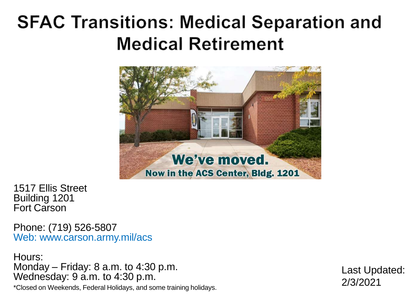#### **SFAC Transitions: Medical Separation and Medical Retirement**



1517 Ellis Street Building 1201 For t Carson

Phone: (719) 526 -5807 Web: www.carson.army.mil/acs

Hours: Monday – Friday: 8 a.m. to 4:30 p.m. Wednesday: 9 a.m. to 4:30 p.m.

Last Updated: 2/3/2021

\*Closed on Weekends, Federal Holidays, and some training holidays.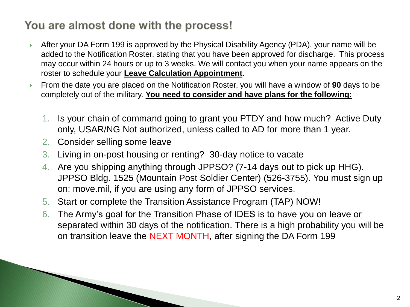#### You are almost done with the process!

- After your DA Form 199 is approved by the Physical Disability Agency (PDA), your name will be added to the Notification Roster, stating that you have been approved for discharge. This process may occur within 24 hours or up to 3 weeks. We will contact you when your name appears on the roster to schedule your **Leave Calculation Appointment**.
- From the date you are placed on the Notification Roster, you will have a window of **90** days to be completely out of the military. **You need to consider and have plans for the following:**
	- 1. Is your chain of command going to grant you PTDY and how much? Active Duty only, USAR/NG Not authorized, unless called to AD for more than 1 year.
	- 2. Consider selling some leave

- 3. Living in on-post housing or renting? 30-day notice to vacate
- 4. Are you shipping anything through JPPSO? (7-14 days out to pick up HHG). JPPSO Bldg. 1525 (Mountain Post Soldier Center) (526-3755). You must sign up on: move.mil, if you are using any form of JPPSO services.
- 5. Start or complete the Transition Assistance Program (TAP) NOW!
- 6. The Army's goal for the Transition Phase of IDES is to have you on leave or separated within 30 days of the notification. There is a high probability you will be on transition leave the NEXT MONTH, after signing the DA Form 199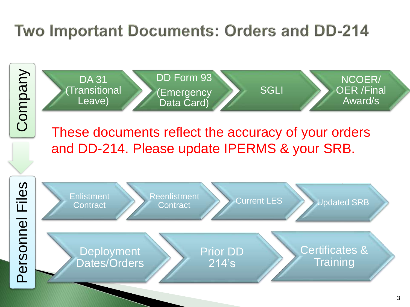#### Two Important Documents: Orders and DD-214



214's

Dates/Orders

**Training**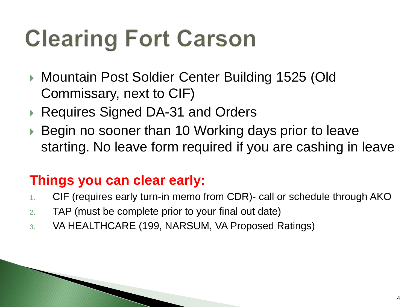# **Clearing Fort Carson**

- ▶ Mountain Post Soldier Center Building 1525 (Old Commissary, next to CIF)
- ▶ Requires Signed DA-31 and Orders
- ▶ Begin no sooner than 10 Working days prior to leave starting. No leave form required if you are cashing in leave

#### **Things you can clear early:**

- 1. CIF (requires early turn-in memo from CDR)- call or schedule through AKO
- 2. TAP (must be complete prior to your final out date)
- 3. VA HEALTHCARE (199, NARSUM, VA Proposed Ratings)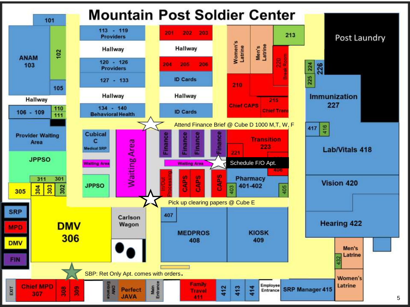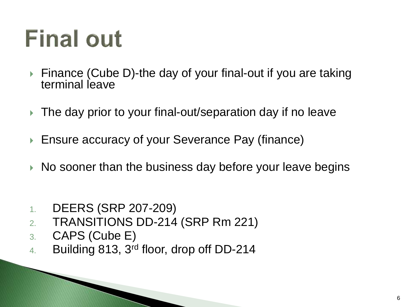# **Final out**

- ▶ Finance (Cube D)-the day of your final-out if you are taking terminal leave
- ▶ The day prior to your final-out/separation day if no leave
- ▶ Ensure accuracy of your Severance Pay (finance)
- $\triangleright$  No sooner than the business day before your leave begins
- 1. DEERS (SRP 207-209)
- 2. TRANSITIONS DD-214 (SRP Rm 221)
- 3. CAPS (Cube E)
- 4. Building 813, 3rd floor, drop off DD-214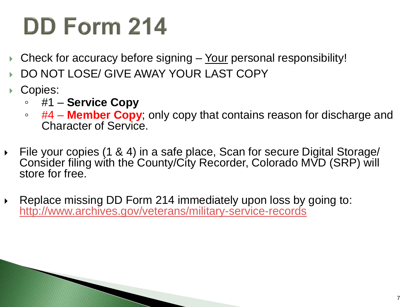## **DD Form 214**

- Check for accuracy before signing Your personal responsibility!
- DO NOT LOSE/ GIVE AWAY YOUR LAST COPY
- Copies:
	- #1 **Service Copy**

- #4 **Member Copy**; only copy that contains reason for discharge and Character of Service.
- File your copies (1 & 4) in a safe place, Scan for secure Digital Storage/ Consider filing with the County/City Recorder, Colorado MVD (SRP) will store for free.
- ▶ Replace missing DD Form 214 immediately upon loss by going to: <http://www.archives.gov/veterans/military-service-records>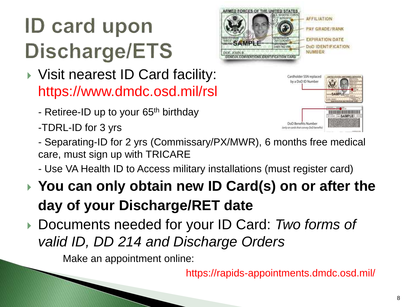### **ID card upon** Discharge/ETS

- ▶ Visit nearest ID Card facility: https://www.dmdc.osd.mil/rsl
	- Retiree-ID up to your 65<sup>th</sup> birthday
	- -TDRL-ID for 3 yrs





- Separating-ID for 2 yrs (Commissary/PX/MWR), 6 months free medical care, must sign up with TRICARE
- Use VA Health ID to Access military installations (must register card)
- **You can only obtain new ID Card(s) on or after the day of your Discharge/RET date**
- Documents needed for your ID Card: *Two forms of valid ID, DD 214 and Discharge Orders*

Make an appointment online:

https://rapids-appointments.dmdc.osd.mil/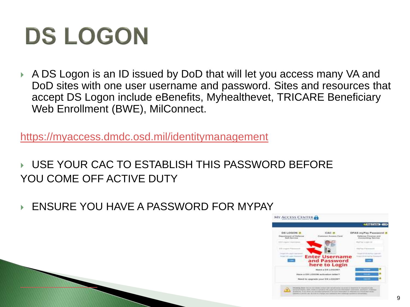## **DS LOGON**

 A DS Logon is an ID issued by DoD that will let you access many VA and DoD sites with one user username and password. Sites and resources that accept DS Logon include eBenefits, Myhealthevet, TRICARE Beneficiary Web Enrollment (BWE), MilConnect.

<https://myaccess.dmdc.osd.mil/identitymanagement>

 USE YOUR CAC TO ESTABLISH THIS PASSWORD BEFORE YOU COME OFF ACTIVE DUTY

ENSURE YOU HAVE A PASSWORD FOR MYPAY

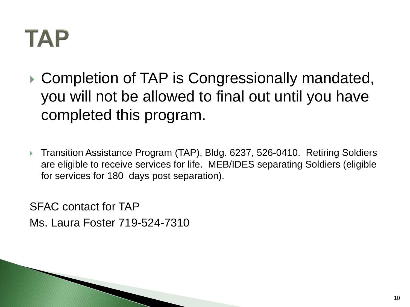### TAP

**▶ Completion of TAP is Congressionally mandated,** you will not be allowed to final out until you have completed this program.

 Transition Assistance Program (TAP), Bldg. 6237, 526-0410. Retiring Soldiers are eligible to receive services for life. MEB/IDES separating Soldiers (eligible for services for 180 days post separation).

SFAC contact for TAP Ms. Laura Foster 719-524-7310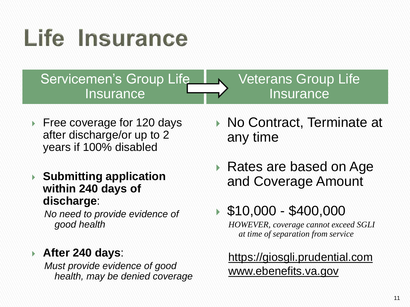# Life Insurance

Servicemen's Group Life **Insurance** 

#### Veterans Group Life **Insurance**

- ▶ Free coverage for 120 days after discharge/or up to 2 years if 100% disabled
- **Submitting application within 240 days of discharge**:

*No need to provide evidence of good health*

#### **After 240 days**:

*Must provide evidence of good health, may be denied coverage*

- ▶ No Contract, Terminate at any time
- ▶ Rates are based on Age and Coverage Amount

#### $\$10,000 - \$400,000$

*HOWEVER, coverage cannot exceed SGLI at time of separation from service*

https://giosgli.prudential.com www.ebenefits.va.gov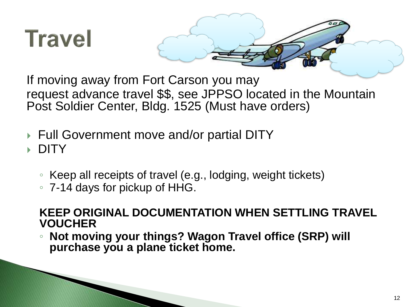

If moving away from Fort Carson you may request advance travel \$\$, see JPPSO located in the Mountain Post Soldier Center, Bldg. 1525 (Must have orders)

Full Government move and/or partial DITY

**DITY** 

- Keep all receipts of travel (e.g., lodging, weight tickets)
- 7-14 days for pickup of HHG.

#### **KEEP ORIGINAL DOCUMENTATION WHEN SETTLING TRAVEL VOUCHER**

◦ **Not moving your things? Wagon Travel office (SRP) will purchase you a plane ticket home.**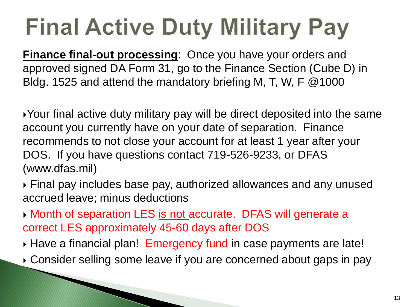# **Final Active Duty Military Pay**

**Finance final-out processing**: Once you have your orders and approved signed DA Form 31, go to the Finance Section (Cube D) in Bldg. 1525 and attend the mandatory briefing M, T, W, F @1000

Your final active duty military pay will be direct deposited into the same account you currently have on your date of separation. Finance recommends to not close your account for at least 1 year after your DOS. If you have questions contact 719-526-9233, or DFAS (www.dfas.mil)

 Final pay includes base pay, authorized allowances and any unused accrued leave; minus deductions

**Month of separation LES is not accurate. DFAS will generate a** correct LES approximately 45-60 days after DOS

- Have a financial plan! Emergency fund in case payments are late!
- Consider selling some leave if you are concerned about gaps in pay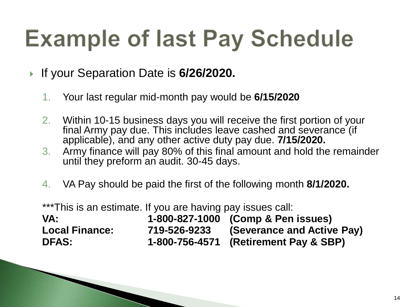## **Example of last Pay Schedule**

If your Separation Date is **6/26/2020.** 

- 1. Your last regular mid-month pay would be **6/15/2020**
- 2. Within 10-15 business days you will receive the first portion of your final Army pay due. This includes leave cashed and severance (if applicable), and any other active duty pay due. **7/15/2020.**
- 3. Army finance will pay 80% of this final amount and hold the remainder until they preform an audit. 30-45 days.
- 4. VA Pay should be paid the first of the following month **8/1/2020.**

\*\*\*This is an estimate. If you are having pay issues call:

| VA:                   |              | 1-800-827-1000 (Comp & Pen issues)    |
|-----------------------|--------------|---------------------------------------|
| <b>Local Finance:</b> | 719-526-9233 | (Severance and Active Pay)            |
| <b>DFAS:</b>          |              | 1-800-756-4571 (Retirement Pay & SBP) |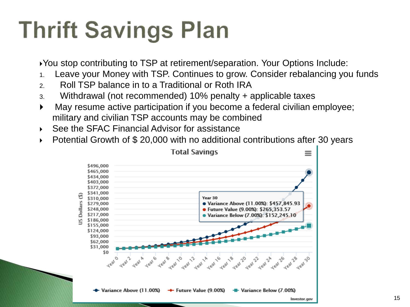# **Thrift Savings Plan**

You stop contributing to TSP at retirement/separation. Your Options Include:

- 1. Leave your Money with TSP. Continues to grow. Consider rebalancing you funds
- 2. Roll TSP balance in to a Traditional or Roth IRA
- 3. Withdrawal (not recommended) 10% penalty + applicable taxes
- May resume active participation if you become a federal civilian employee; military and civilian TSP accounts may be combined
- ▶ See the SFAC Financial Advisor for assistance
- Potential Growth of \$ 20,000 with no additional contributions after 30 years

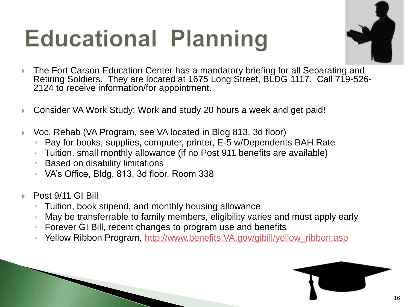# **Educational Planning**



- ▶ The Fort Carson Education Center has a mandatory briefing for all Separating and Retiring Soldiers. They are located at 1675 Long Street, BLDG 1117. Call 719-526-2124 to receive information/for appointment.
- Consider VA Work Study: Work and study 20 hours a week and get paid!
- Voc. Rehab (VA Program, see VA located in Bldg 813, 3d floor)
	- Pay for books, supplies, computer, printer, E-5 w/Dependents BAH Rate
	- Tuition, small monthly allowance (if no Post 911 benefits are available)
	- Based on disability limitations
	- VA's Office, Bldg. 813, 3d floor, Room 338
- Post 9/11 GI Bill
	- Tuition, book stipend, and monthly housing allowance
	- May be transferrable to family members, eligibility varies and must apply early
	- Forever GI Bill, recent changes to program use and benefits
	- Yellow Ribbon Program, [http://www.benefits.VA.gov/gibill/yellow\\_ribbon.asp](http://www.benefits.va.gov/gibill/yellow_ribbon.asp)

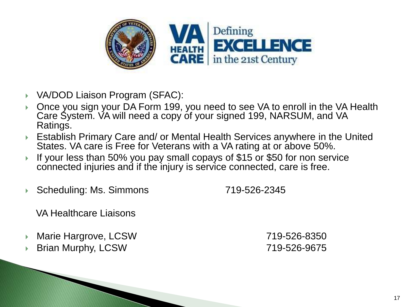

- VA/DOD Liaison Program (SFAC):
- Once you sign your DA Form 199, you need to see VA to enroll in the VA Health Care System. VA will need a copy of your signed 199, NARSUM, and VA Ratings.
- Establish Primary Care and/ or Mental Health Services anywhere in the United States. VA care is Free for Veterans with a VA rating at or above 50%.
- If your less than 50% you pay small copays of \$15 or \$50 for non service connected injuries and if the injury is service connected, care is free.
- Scheduling: Ms. Simmons 719-526-2345

VA Healthcare Liaisons

Marie Hargrove, LCSW 719-526-8350

Brian Murphy, LCSW 719-526-9675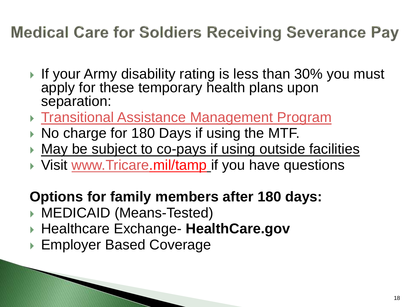#### **Medical Care for Soldiers Receiving Severance Pay**

- If your Army disability rating is less than 30% you must apply for these temporary health plans upon separation:
- ▶ [Transitional Assistance Management Program](http://www.tricare.mil/Plans/SpecialPrograms/TAMP)
- $\triangleright$  No charge for 180 Days if using the MTF.
- **May be subject to co-pays if using outside facilities**
- ▶ Visit [www.Tricare](http://www.tricare/).mil/tamp if you have questions

#### **Options for family members after 180 days:**

- ▶ MEDICAID (Means-Tested)
- ▶ Healthcare Exchange- HealthCare.gov
- ▶ Employer Based Coverage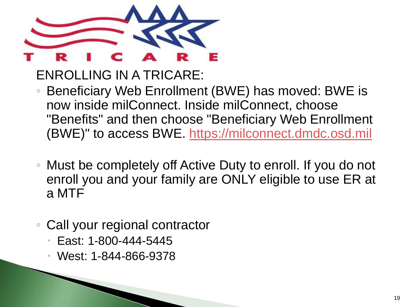

ENROLLING IN A TRICARE:

- Beneficiary Web Enrollment (BWE) has moved: BWE is now inside milConnect. Inside milConnect, choose "Benefits" and then choose "Beneficiary Web Enrollment (BWE)" to access BWE. [https://milconnect.dmdc.osd.mil](https://milconnect.dmdc.osd.mil/)
- Must be completely off Active Duty to enroll. If you do not enroll you and your family are ONLY eligible to use ER at a MTF
- Call your regional contractor
	- East: 1-800-444-5445
	- West: 1-844-866-9378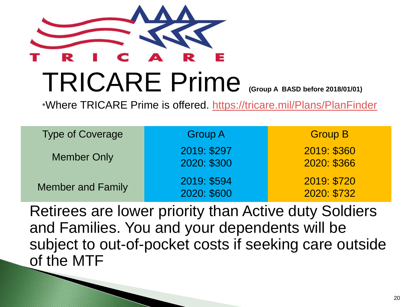

# TRICARE Prime **(Group A BASD before 2018/01/01)**

\*Where TRICARE Prime is offered. <https://tricare.mil/Plans/PlanFinder>

| <b>Type of Coverage</b>  | <b>Group A</b>             | <b>Group B</b>             |  |
|--------------------------|----------------------------|----------------------------|--|
| <b>Member Only</b>       | 2019: \$297<br>2020: \$300 | 2019: \$360<br>2020: \$366 |  |
| <b>Member and Family</b> | 2019: \$594<br>2020: \$600 | 2019: \$720<br>2020: \$732 |  |

Retirees are lower priority than Active duty Soldiers and Families. You and your dependents will be subject to out-of-pocket costs if seeking care outside of the MTF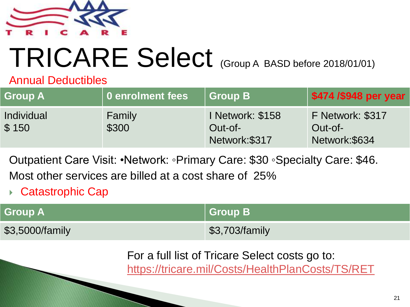

# TRICARE Select (Group A BASD before 2018/01/01)

#### Annual Deductibles

| <b>Group A</b>      | 0 enrolment fees | Group B                                      | \$474 /\$948 per year                         |
|---------------------|------------------|----------------------------------------------|-----------------------------------------------|
| Individual<br>\$150 | Family<br>\$300  | I Network: \$158<br>Out-of-<br>Network:\$317 | F Network: \$317<br>Out-of-<br>Network: \$634 |

Outpatient Care Visit: •Network: ◦Primary Care: \$30 ◦Specialty Care: \$46. Most other services are billed at a cost share of 25%

Catastrophic Cap

| <b>Group A</b>  | Group B        |
|-----------------|----------------|
| \$3,5000/family | \$3,703/family |

For a full list of Tricare Select costs go to:

<https://tricare.mil/Costs/HealthPlanCosts/TS/RET>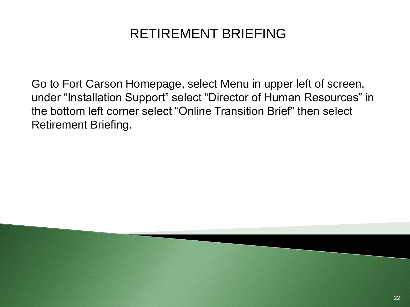#### RETIREMENT BRIEFING

Go to Fort Carson Homepage, select Menu in upper left of screen, under "Installation Support" select "Director of Human Resources" in the bottom left corner select "Online Transition Brief" then select Retirement Briefing.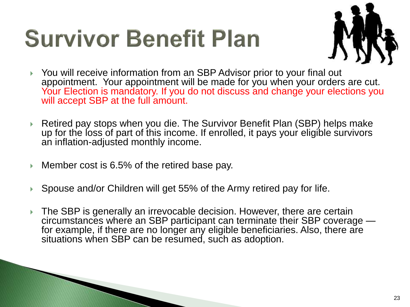## **Survivor Benefit Plan**



- You will receive information from an SBP Advisor prior to your final out appointment. Your appointment will be made for you when your orders are cut. Your Election is mandatory. If you do not discuss and change your elections you will accept SBP at the full amount.
- ▶ Retired pay stops when you die. The Survivor Benefit Plan (SBP) helps make up for the loss of part of this income. If enrolled, it pays your eligible survivors an inflation-adjusted monthly income.
- ► Member cost is 6.5% of the retired base pay.
- ▶ Spouse and/or Children will get 55% of the Army retired pay for life.
- ▶ The SBP is generally an irrevocable decision. However, there are certain circumstances where an SBP participant can terminate their SBP coverage for example, if there are no longer any eligible beneficiaries. Also, there are situations when SBP can be resumed, such as adoption.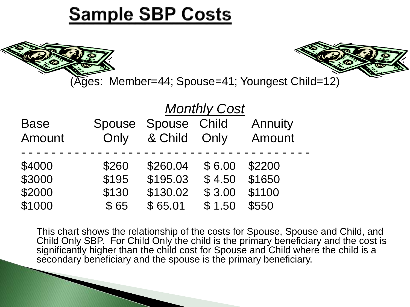#### **Sample SBP Costs**





(Ages: Member=44; Spouse=41; Youngest Child=12)

|             |        | <b>Monthly Cost</b> |        |         |  |  |
|-------------|--------|---------------------|--------|---------|--|--|
| <b>Base</b> | Spouse | Spouse Child        |        | Annuity |  |  |
| Amount      | Only   | & Child Only        |        | Amount  |  |  |
|             |        |                     |        |         |  |  |
| \$4000      | \$260  | \$260.04            | \$6.00 | \$2200  |  |  |
| \$3000      | \$195  | \$195.03            | \$4.50 | \$1650  |  |  |
| \$2000      | \$130  | \$130.02            | \$3.00 | \$1100  |  |  |
| \$1000      | \$65   | \$65.01             | \$1.50 | \$550   |  |  |

This chart shows the relationship of the costs for Spouse, Spouse and Child, and Child Only SBP. For Child Only the child is the primary beneficiary and the cost is significantly higher than the child cost for Spouse and Child where the child is a secondary beneficiary and the spouse is the primary beneficiary.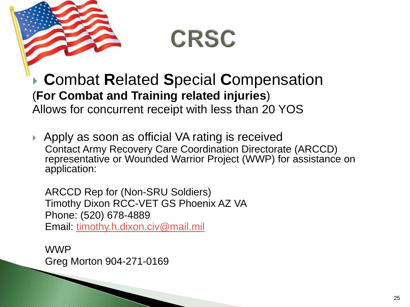

### **CRSC**

 **C**ombat **R**elated **S**pecial **C**ompensation (**For Combat and Training related injuries**) Allows for concurrent receipt with less than 20 YOS

▶ Apply as soon as official VA rating is received Contact Army Recovery Care Coordination Directorate (ARCCD) representative or Wounded Warrior Project (WWP) for assistance on application:

ARCCD Rep for (Non-SRU Soldiers) Timothy Dixon RCC-VET GS Phoenix AZ VA Phone: (520) 678-4889 Email: [timothy.h.dixon.civ@mail.mil](mailto:timothy.h.dixon.civ@mail.mil)

WWP Greg Morton 904-271-0169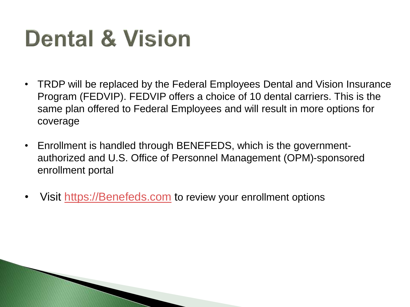### **Dental & Vision**

- TRDP will be replaced by the Federal Employees Dental and Vision Insurance Program (FEDVIP). FEDVIP offers a choice of 10 dental carriers. This is the same plan offered to Federal Employees and will result in more options for coverage
- Enrollment is handled through BENEFEDS, which is the governmentauthorized and U.S. Office of Personnel Management (OPM)-sponsored enrollment portal
- Visit [https://Benefeds.com](https://benefeds.com/) to review your enrollment options